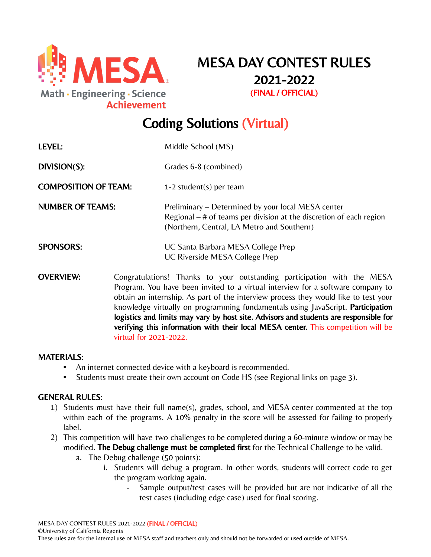

MESA DAY CONTEST RULES 2021-2022 (FINAL / OFFICIAL)

# Coding Solutions (Virtual)

| LEVEL:                      | Middle School (MS)                                                                                                                                                                                                                                                                                                                                                                                                            |
|-----------------------------|-------------------------------------------------------------------------------------------------------------------------------------------------------------------------------------------------------------------------------------------------------------------------------------------------------------------------------------------------------------------------------------------------------------------------------|
| DIVISION(S):                | Grades 6-8 (combined)                                                                                                                                                                                                                                                                                                                                                                                                         |
| <b>COMPOSITION OF TEAM:</b> | 1-2 student(s) per team                                                                                                                                                                                                                                                                                                                                                                                                       |
| <b>NUMBER OF TEAMS:</b>     | Preliminary – Determined by your local MESA center<br>Regional $-$ # of teams per division at the discretion of each region<br>(Northern, Central, LA Metro and Southern)                                                                                                                                                                                                                                                     |
| <b>SPONSORS:</b>            | UC Santa Barbara MESA College Prep<br>UC Riverside MESA College Prep                                                                                                                                                                                                                                                                                                                                                          |
| <b>OVERVIEW:</b>            | Congratulations! Thanks to your outstanding participation with the MESA<br>Program. You have been invited to a virtual interview for a software company to<br>obtain an internship. As part of the interview process they would like to test your<br>knowledge virtually on programming fundamentals using JavaScript. Participation<br>logistics and limits may vary by host site. Advisors and students are responsible for |

## MATERIALS:

▪ An internet connected device with a keyboard is recommended.

virtual for 2021-2022.

Students must create their own account on Code HS (see Regional links on page 3).

#### GENERAL RULES:

- 1) Students must have their full name(s), grades, school, and MESA center commented at the top within each of the programs. A 10% penalty in the score will be assessed for failing to properly label.
- 2) This competition will have two challenges to be completed during a 60-minute window or may be modified. The Debug challenge must be completed first for the Technical Challenge to be valid.
	- a. The Debug challenge (50 points):
		- i. Students will debug a program. In other words, students will correct code to get the program working again.

verifying this information with their local MESA center. This competition will be

- Sample output/test cases will be provided but are not indicative of all the test cases (including edge case) used for final scoring.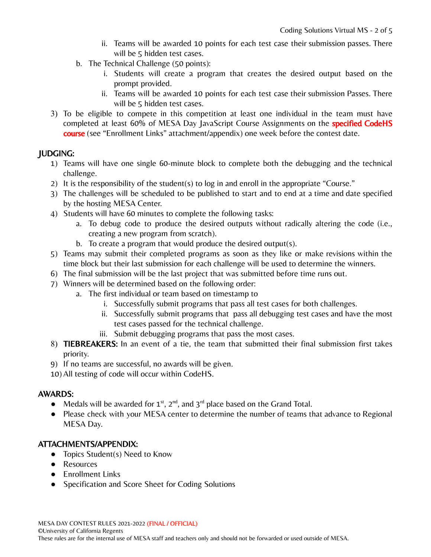- ii. Teams will be awarded 10 points for each test case their submission passes. There will be 5 hidden test cases.
- b. The Technical Challenge (50 points):
	- i. Students will create a program that creates the desired output based on the prompt provided.
	- ii. Teams will be awarded 10 points for each test case their submission Passes. There will be 5 hidden test cases.
- 3) To be eligible to compete in this competition at least one individual in the team must have completed at least 60% of MESA Day JavaScript Course Assignments on the **specified CodeHS** course (see "Enrollment Links" attachment/appendix) one week before the contest date.

# JUDGING:

- 1) Teams will have one single 60-minute block to complete both the debugging and the technical challenge.
- 2) It is the responsibility of the student(s) to log in and enroll in the appropriate "Course."
- 3) The challenges will be scheduled to be published to start and to end at a time and date specified by the hosting MESA Center.
- 4) Students will have 60 minutes to complete the following tasks:
	- a. To debug code to produce the desired outputs without radically altering the code (i.e., creating a new program from scratch).
	- b. To create a program that would produce the desired output(s).
- 5) Teams may submit their completed programs as soon as they like or make revisions within the time block but their last submission for each challenge will be used to determine the winners.
- 6) The final submission will be the last project that was submitted before time runs out.
- 7) Winners will be determined based on the following order:
	- a. The first individual or team based on timestamp to
		- i. Successfully submit programs that pass all test cases for both challenges.
		- ii. Successfully submit programs that pass all debugging test cases and have the most test cases passed for the technical challenge.
		- iii. Submit debugging programs that pass the most cases.
- 8) TIEBREAKERS: In an event of a tie, the team that submitted their final submission first takes priority.
- 9) If no teams are successful, no awards will be given.
- 10) All testing of code will occur within CodeHS.

# AWARDS:

- Medals will be awarded for  $1^{st}$ ,  $2^{nd}$ , and  $3^{rd}$  place based on the Grand Total.
- Please check with your MESA center to determine the number of teams that advance to Regional MESA Day.

# ATTACHMENTS/APPENDIX:

- Topics Student(s) Need to Know
- Resources
- Enrollment Links
- Specification and Score Sheet for Coding Solutions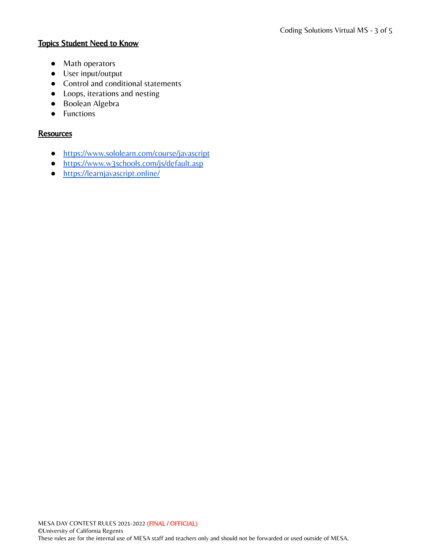# Topics Student Need to Know

- Math operators
- User input/output
- Control and conditional statements
- Loops, iterations and nesting
- Boolean Algebra
- Functions

## **Resources**

- <https://www.sololearn.com/course/javascript>
- <https://www.w3schools.com/js/default.asp>
- <https://learnjavascript.online/>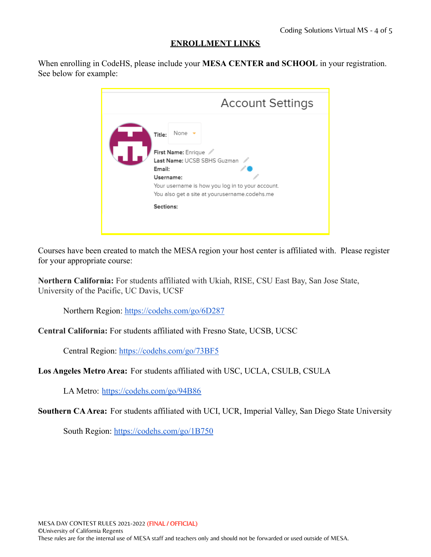# **ENROLLMENT LINKS**

When enrolling in CodeHS, please include your **MESA CENTER and SCHOOL** in your registration. See below for example:

| <b>Account Settings</b>                                                                                                                                                                                              |
|----------------------------------------------------------------------------------------------------------------------------------------------------------------------------------------------------------------------|
| None $\sim$<br>Title:<br>First Name: Enrique<br>Last Name: UCSB SBHS Guzman<br>Email:<br>Username:<br>Your username is how you log in to your account.<br>You also get a site at yourusername.codehs.me<br>Sections: |

Courses have been created to match the MESA region your host center is affiliated with. Please register for your appropriate course:

**Northern California:** For students affiliated with Ukiah, RISE, CSU East Bay, San Jose State, University of the Pacific, UC Davis, UCSF

Northern Region: <https://codehs.com/go/6D287>

**Central California:** For students affiliated with Fresno State, UCSB, UCSC

Central Region: <https://codehs.com/go/73BF5>

**Los Angeles Metro Area:** For students affiliated with USC, UCLA, CSULB, CSULA

LA Metro: <https://codehs.com/go/94B86>

**Southern CAArea:** For students affiliated with UCI, UCR, Imperial Valley, San Diego State University

South Region: <https://codehs.com/go/1B750>